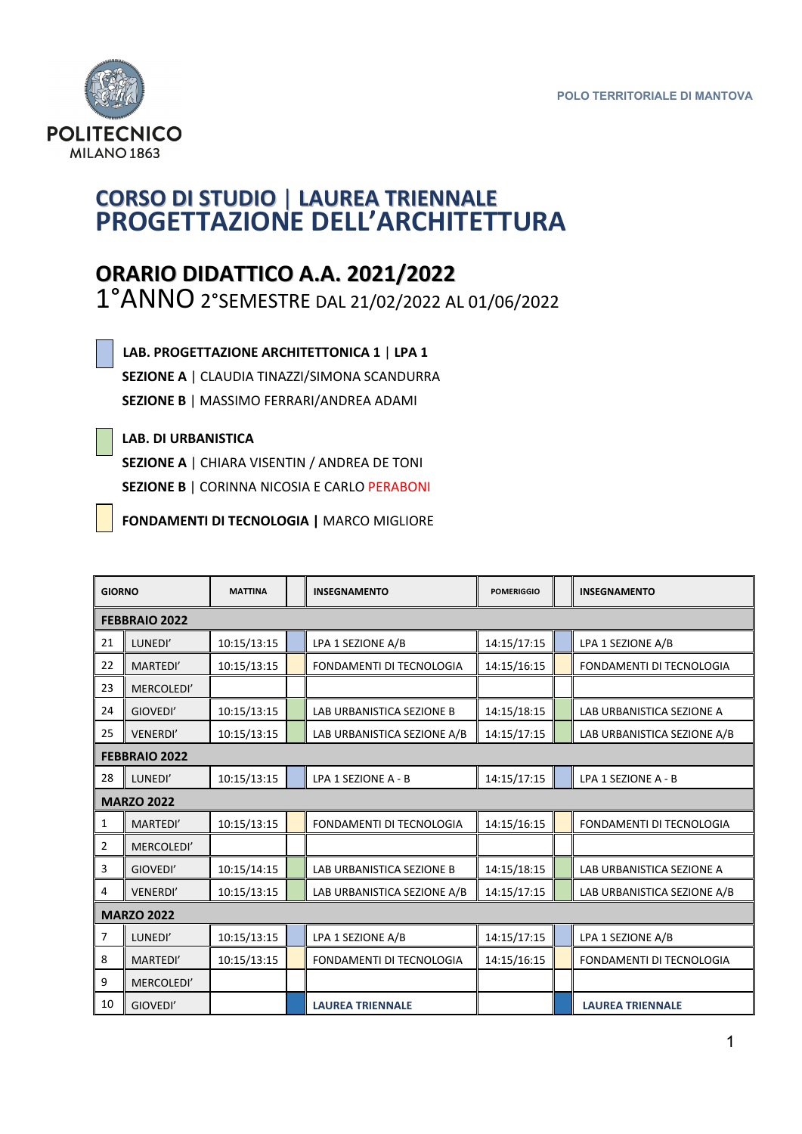

## **CORSO DI STUDIO** | **LAUREA TRIENNALE PROGETTAZIONE DELL'ARCHITETTURA**

## **ORARIO DIDATTICO A.A. 2021/2022**

1°ANNO2°SEMESTRE DAL 21/02/2022 AL 01/06/2022

 **LAB. PROGETTAZIONE ARCHITETTONICA 1** | **LPA 1**

 **SEZIONE A** | CLAUDIA TINAZZI/SIMONA SCANDURRA **SEZIONE B** | MASSIMO FERRARI/ANDREA ADAMI

## **LAB. DI URBANISTICA**

 **SEZIONE A** | CHIARA VISENTIN / ANDREA DE TONI **SEZIONE B** | CORINNA NICOSIA E CARLO PERABONI

**FONDAMENTI DI TECNOLOGIA |** MARCO MIGLIORE

| <b>GIORNO</b>        |                      | <b>MATTINA</b> |  | <b>INSEGNAMENTO</b>             | <b>POMERIGGIO</b> |  | <b>INSEGNAMENTO</b>             |  |
|----------------------|----------------------|----------------|--|---------------------------------|-------------------|--|---------------------------------|--|
|                      | <b>FEBBRAIO 2022</b> |                |  |                                 |                   |  |                                 |  |
| 21                   | LUNEDI'              | 10:15/13:15    |  | LPA 1 SEZIONE A/B               | 14:15/17:15       |  | LPA 1 SEZIONE A/B               |  |
| 22                   | MARTEDI'             | 10:15/13:15    |  | FONDAMENTI DI TECNOLOGIA        | 14:15/16:15       |  | FONDAMENTI DI TECNOLOGIA        |  |
| 23                   | MERCOLEDI'           |                |  |                                 |                   |  |                                 |  |
| 24                   | GIOVEDI'             | 10:15/13:15    |  | LAB URBANISTICA SEZIONE B       | 14:15/18:15       |  | LAB URBANISTICA SEZIONE A       |  |
| 25                   | VENERDI'             | 10:15/13:15    |  | LAB URBANISTICA SEZIONE A/B     | 14:15/17:15       |  | LAB URBANISTICA SEZIONE A/B     |  |
| <b>FEBBRAIO 2022</b> |                      |                |  |                                 |                   |  |                                 |  |
| 28                   | LUNEDI'              | 10:15/13:15    |  | LPA 1 SEZIONE A - B             | 14:15/17:15       |  | LPA 1 SEZIONE A - B             |  |
| <b>MARZO 2022</b>    |                      |                |  |                                 |                   |  |                                 |  |
| 1                    | MARTEDI'             | 10:15/13:15    |  | <b>FONDAMENTI DI TECNOLOGIA</b> | 14:15/16:15       |  | <b>FONDAMENTI DI TECNOLOGIA</b> |  |
| $\overline{2}$       | MERCOLEDI'           |                |  |                                 |                   |  |                                 |  |
| 3                    | GIOVEDI'             | 10:15/14:15    |  | LAB URBANISTICA SEZIONE B       | 14:15/18:15       |  | LAB URBANISTICA SEZIONE A       |  |
| 4                    | <b>VENERDI'</b>      | 10:15/13:15    |  | LAB URBANISTICA SEZIONE A/B     | 14:15/17:15       |  | LAB URBANISTICA SEZIONE A/B     |  |
| <b>MARZO 2022</b>    |                      |                |  |                                 |                   |  |                                 |  |
| 7                    | LUNEDI'              | 10:15/13:15    |  | LPA 1 SEZIONE A/B               | 14:15/17:15       |  | LPA 1 SEZIONE A/B               |  |
| 8                    | MARTEDI'             | 10:15/13:15    |  | FONDAMENTI DI TECNOLOGIA        | 14:15/16:15       |  | FONDAMENTI DI TECNOLOGIA        |  |
| 9                    | MERCOLEDI'           |                |  |                                 |                   |  |                                 |  |
| 10                   | GIOVEDI'             |                |  | <b>LAUREA TRIENNALE</b>         |                   |  | <b>LAUREA TRIENNALE</b>         |  |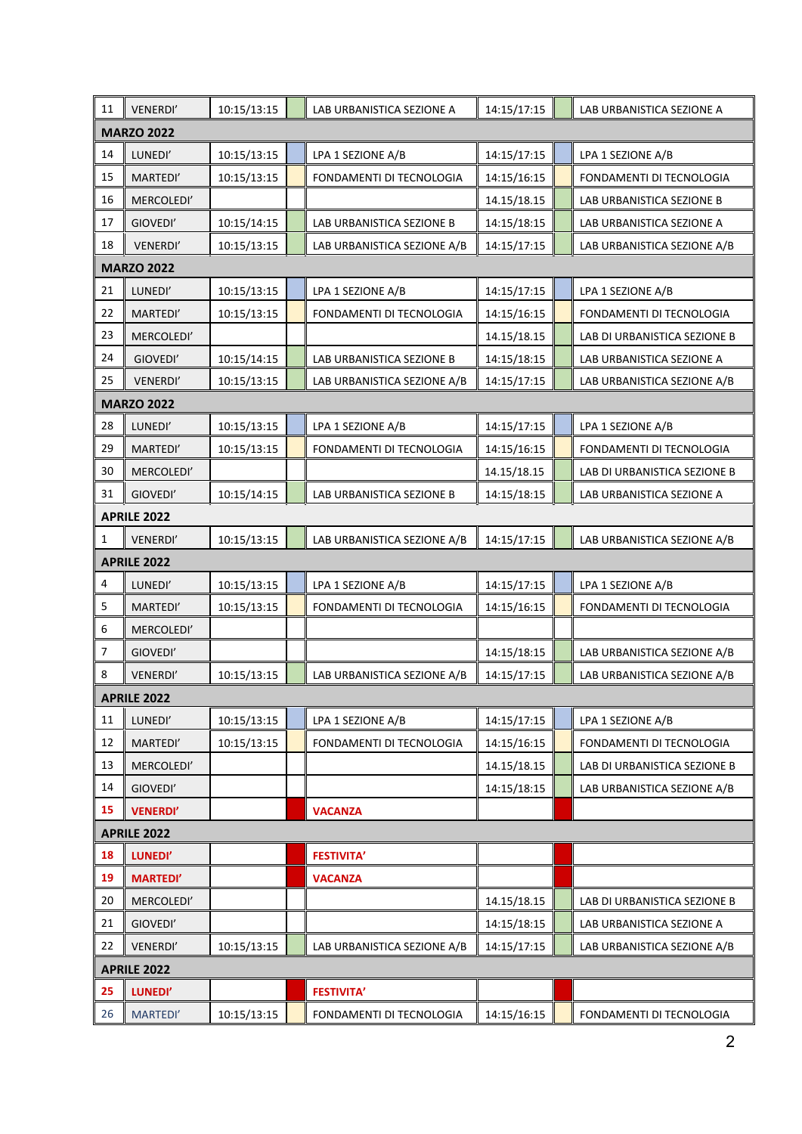| 11                 | VENERDI'           | 10:15/13:15 |  | LAB URBANISTICA SEZIONE A   | 14:15/17:15 |  | LAB URBANISTICA SEZIONE A    |  |
|--------------------|--------------------|-------------|--|-----------------------------|-------------|--|------------------------------|--|
|                    | <b>MARZO 2022</b>  |             |  |                             |             |  |                              |  |
| 14                 | LUNEDI'            | 10:15/13:15 |  | LPA 1 SEZIONE A/B           | 14:15/17:15 |  | LPA 1 SEZIONE A/B            |  |
| 15                 | MARTEDI'           | 10:15/13:15 |  | FONDAMENTI DI TECNOLOGIA    | 14:15/16:15 |  | FONDAMENTI DI TECNOLOGIA     |  |
| 16                 | MERCOLEDI'         |             |  |                             | 14.15/18.15 |  | LAB URBANISTICA SEZIONE B    |  |
| 17                 | GIOVEDI'           | 10:15/14:15 |  | LAB URBANISTICA SEZIONE B   | 14:15/18:15 |  | LAB URBANISTICA SEZIONE A    |  |
| 18                 | VENERDI'           | 10:15/13:15 |  | LAB URBANISTICA SEZIONE A/B | 14:15/17:15 |  | LAB URBANISTICA SEZIONE A/B  |  |
| <b>MARZO 2022</b>  |                    |             |  |                             |             |  |                              |  |
| 21                 | LUNEDI'            | 10:15/13:15 |  | LPA 1 SEZIONE A/B           | 14:15/17:15 |  | LPA 1 SEZIONE A/B            |  |
| 22                 | MARTEDI'           | 10:15/13:15 |  | FONDAMENTI DI TECNOLOGIA    | 14:15/16:15 |  | FONDAMENTI DI TECNOLOGIA     |  |
| 23                 | MERCOLEDI'         |             |  |                             | 14.15/18.15 |  | LAB DI URBANISTICA SEZIONE B |  |
| 24                 | GIOVEDI'           | 10:15/14:15 |  | LAB URBANISTICA SEZIONE B   | 14:15/18:15 |  | LAB URBANISTICA SEZIONE A    |  |
| 25                 | VENERDI'           | 10:15/13:15 |  | LAB URBANISTICA SEZIONE A/B | 14:15/17:15 |  | LAB URBANISTICA SEZIONE A/B  |  |
| <b>MARZO 2022</b>  |                    |             |  |                             |             |  |                              |  |
| 28                 | LUNEDI'            | 10:15/13:15 |  | LPA 1 SEZIONE A/B           | 14:15/17:15 |  | LPA 1 SEZIONE A/B            |  |
| 29                 | MARTEDI'           | 10:15/13:15 |  | FONDAMENTI DI TECNOLOGIA    | 14:15/16:15 |  | FONDAMENTI DI TECNOLOGIA     |  |
| 30                 | MERCOLEDI'         |             |  |                             | 14.15/18.15 |  | LAB DI URBANISTICA SEZIONE B |  |
| 31                 | GIOVEDI'           | 10:15/14:15 |  | LAB URBANISTICA SEZIONE B   | 14:15/18:15 |  | LAB URBANISTICA SEZIONE A    |  |
|                    | <b>APRILE 2022</b> |             |  |                             |             |  |                              |  |
| 1                  | VENERDI'           | 10:15/13:15 |  | LAB URBANISTICA SEZIONE A/B | 14:15/17:15 |  | LAB URBANISTICA SEZIONE A/B  |  |
|                    | <b>APRILE 2022</b> |             |  |                             |             |  |                              |  |
| $\overline{4}$     | LUNEDI'            | 10:15/13:15 |  | LPA 1 SEZIONE A/B           | 14:15/17:15 |  | LPA 1 SEZIONE A/B            |  |
| 5                  | MARTEDI'           | 10:15/13:15 |  | FONDAMENTI DI TECNOLOGIA    | 14:15/16:15 |  | FONDAMENTI DI TECNOLOGIA     |  |
| 6                  | MERCOLEDI'         |             |  |                             |             |  |                              |  |
| $\boldsymbol{7}$   | GIOVEDI'           |             |  |                             | 14:15/18:15 |  | LAB URBANISTICA SEZIONE A/B  |  |
| 8                  | VENERDI'           | 10:15/13:15 |  | LAB URBANISTICA SEZIONE A/B | 14:15/17:15 |  | LAB URBANISTICA SEZIONE A/B  |  |
|                    | <b>APRILE 2022</b> |             |  |                             |             |  |                              |  |
| 11                 | LUNEDI'            | 10:15/13:15 |  | LPA 1 SEZIONE A/B           | 14:15/17:15 |  | LPA 1 SEZIONE A/B            |  |
| 12                 | MARTEDI'           | 10:15/13:15 |  | FONDAMENTI DI TECNOLOGIA    | 14:15/16:15 |  | FONDAMENTI DI TECNOLOGIA     |  |
| 13                 | MERCOLEDI'         |             |  |                             | 14.15/18.15 |  | LAB DI URBANISTICA SEZIONE B |  |
| 14                 | GIOVEDI'           |             |  |                             | 14:15/18:15 |  | LAB URBANISTICA SEZIONE A/B  |  |
| 15                 | <b>VENERDI'</b>    |             |  | <b>VACANZA</b>              |             |  |                              |  |
| <b>APRILE 2022</b> |                    |             |  |                             |             |  |                              |  |
| 18                 | LUNEDI'            |             |  | <b>FESTIVITA'</b>           |             |  |                              |  |
| 19                 | <b>MARTEDI'</b>    |             |  | <b>VACANZA</b>              |             |  |                              |  |
| 20                 | MERCOLEDI'         |             |  |                             | 14.15/18.15 |  | LAB DI URBANISTICA SEZIONE B |  |
| 21                 | GIOVEDI'           |             |  |                             | 14:15/18:15 |  | LAB URBANISTICA SEZIONE A    |  |
| 22                 | VENERDI'           | 10:15/13:15 |  | LAB URBANISTICA SEZIONE A/B | 14:15/17:15 |  | LAB URBANISTICA SEZIONE A/B  |  |
| <b>APRILE 2022</b> |                    |             |  |                             |             |  |                              |  |
| 25                 | LUNEDI'            |             |  | <b>FESTIVITA'</b>           |             |  |                              |  |
| 26                 | <b>MARTEDI'</b>    | 10:15/13:15 |  | FONDAMENTI DI TECNOLOGIA    | 14:15/16:15 |  | FONDAMENTI DI TECNOLOGIA     |  |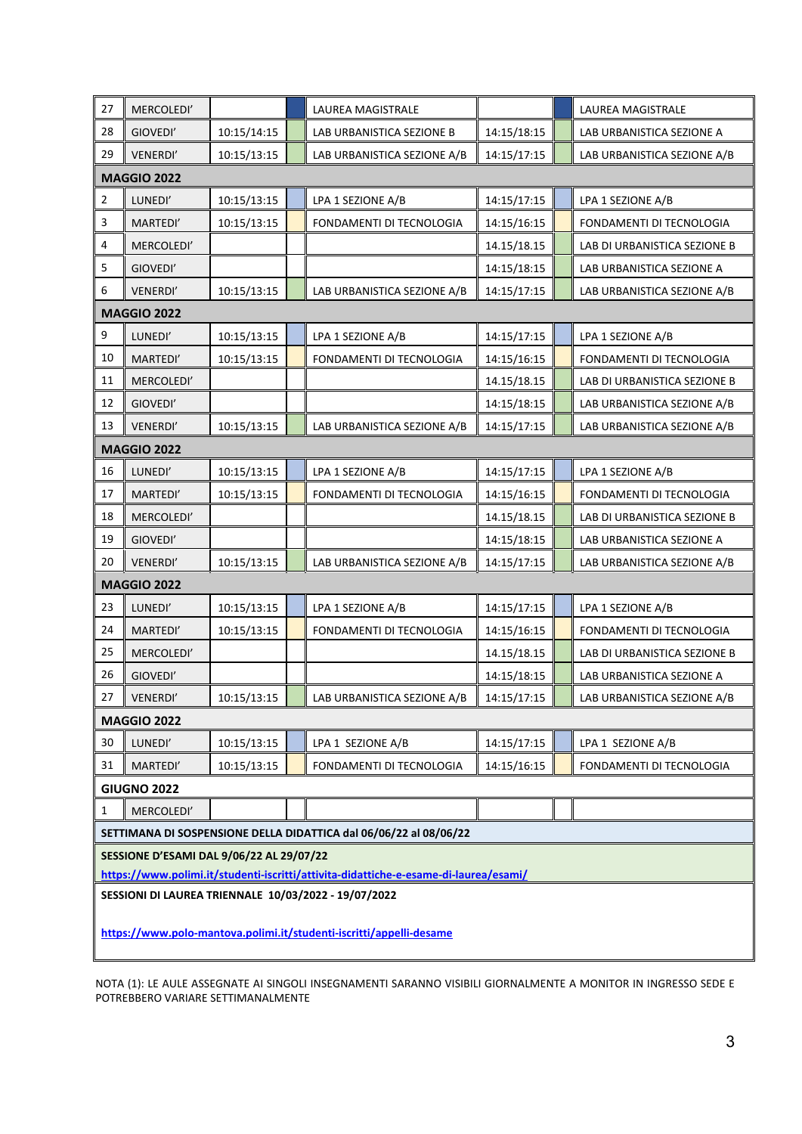| 27                                                                                                                                           | MERCOLEDI'         |             |  | LAUREA MAGISTRALE           |             |  | LAUREA MAGISTRALE            |  |  |
|----------------------------------------------------------------------------------------------------------------------------------------------|--------------------|-------------|--|-----------------------------|-------------|--|------------------------------|--|--|
| 28                                                                                                                                           | GIOVEDI'           | 10:15/14:15 |  | LAB URBANISTICA SEZIONE B   | 14:15/18:15 |  | LAB URBANISTICA SEZIONE A    |  |  |
| 29                                                                                                                                           | VENERDI'           | 10:15/13:15 |  | LAB URBANISTICA SEZIONE A/B | 14:15/17:15 |  | LAB URBANISTICA SEZIONE A/B  |  |  |
|                                                                                                                                              | <b>MAGGIO 2022</b> |             |  |                             |             |  |                              |  |  |
| $\overline{2}$                                                                                                                               | LUNEDI'            | 10:15/13:15 |  | LPA 1 SEZIONE A/B           | 14:15/17:15 |  | LPA 1 SEZIONE A/B            |  |  |
| 3                                                                                                                                            | MARTEDI'           | 10:15/13:15 |  | FONDAMENTI DI TECNOLOGIA    | 14:15/16:15 |  | FONDAMENTI DI TECNOLOGIA     |  |  |
| $\overline{4}$                                                                                                                               | MERCOLEDI'         |             |  |                             | 14.15/18.15 |  | LAB DI URBANISTICA SEZIONE B |  |  |
| 5                                                                                                                                            | GIOVEDI'           |             |  |                             | 14:15/18:15 |  | LAB URBANISTICA SEZIONE A    |  |  |
| 6                                                                                                                                            | VENERDI'           | 10:15/13:15 |  | LAB URBANISTICA SEZIONE A/B | 14:15/17:15 |  | LAB URBANISTICA SEZIONE A/B  |  |  |
| <b>MAGGIO 2022</b>                                                                                                                           |                    |             |  |                             |             |  |                              |  |  |
| 9                                                                                                                                            | LUNEDI'            | 10:15/13:15 |  | LPA 1 SEZIONE A/B           | 14:15/17:15 |  | LPA 1 SEZIONE A/B            |  |  |
| 10                                                                                                                                           | MARTEDI'           | 10:15/13:15 |  | FONDAMENTI DI TECNOLOGIA    | 14:15/16:15 |  | FONDAMENTI DI TECNOLOGIA     |  |  |
| 11                                                                                                                                           | MERCOLEDI'         |             |  |                             | 14.15/18.15 |  | LAB DI URBANISTICA SEZIONE B |  |  |
| 12                                                                                                                                           | GIOVEDI'           |             |  |                             | 14:15/18:15 |  | LAB URBANISTICA SEZIONE A/B  |  |  |
| 13                                                                                                                                           | VENERDI'           | 10:15/13:15 |  | LAB URBANISTICA SEZIONE A/B | 14:15/17:15 |  | LAB URBANISTICA SEZIONE A/B  |  |  |
| <b>MAGGIO 2022</b>                                                                                                                           |                    |             |  |                             |             |  |                              |  |  |
| 16                                                                                                                                           | LUNEDI'            | 10:15/13:15 |  | LPA 1 SEZIONE A/B           | 14:15/17:15 |  | LPA 1 SEZIONE A/B            |  |  |
| 17                                                                                                                                           | MARTEDI'           | 10:15/13:15 |  | FONDAMENTI DI TECNOLOGIA    | 14:15/16:15 |  | FONDAMENTI DI TECNOLOGIA     |  |  |
| 18                                                                                                                                           | MERCOLEDI'         |             |  |                             | 14.15/18.15 |  | LAB DI URBANISTICA SEZIONE B |  |  |
| 19                                                                                                                                           | GIOVEDI'           |             |  |                             | 14:15/18:15 |  | LAB URBANISTICA SEZIONE A    |  |  |
| 20                                                                                                                                           | <b>VENERDI'</b>    | 10:15/13:15 |  | LAB URBANISTICA SEZIONE A/B | 14:15/17:15 |  | LAB URBANISTICA SEZIONE A/B  |  |  |
|                                                                                                                                              | <b>MAGGIO 2022</b> |             |  |                             |             |  |                              |  |  |
| 23                                                                                                                                           | LUNEDI'            | 10:15/13:15 |  | LPA 1 SEZIONE A/B           | 14:15/17:15 |  | LPA 1 SEZIONE A/B            |  |  |
| 24                                                                                                                                           | MARTEDI'           | 10:15/13:15 |  | FONDAMENTI DI TECNOLOGIA    | 14:15/16:15 |  | FONDAMENTI DI TECNOLOGIA     |  |  |
| 25                                                                                                                                           | MERCOLEDI'         |             |  |                             | 14.15/18.15 |  | LAB DI URBANISTICA SEZIONE B |  |  |
| 26                                                                                                                                           | GIOVEDI'           |             |  |                             | 14:15/18:15 |  | LAB URBANISTICA SEZIONE A    |  |  |
| 27                                                                                                                                           | VENERDI'           | 10:15/13:15 |  | LAB URBANISTICA SEZIONE A/B | 14:15/17:15 |  | LAB URBANISTICA SEZIONE A/B  |  |  |
|                                                                                                                                              | <b>MAGGIO 2022</b> |             |  |                             |             |  |                              |  |  |
| 30                                                                                                                                           | LUNEDI'            | 10:15/13:15 |  | LPA 1 SEZIONE A/B           | 14:15/17:15 |  | LPA 1 SEZIONE A/B            |  |  |
| 31                                                                                                                                           | MARTEDI'           | 10:15/13:15 |  | FONDAMENTI DI TECNOLOGIA    | 14:15/16:15 |  | FONDAMENTI DI TECNOLOGIA     |  |  |
| <b>GIUGNO 2022</b>                                                                                                                           |                    |             |  |                             |             |  |                              |  |  |
| 1<br>MERCOLEDI'                                                                                                                              |                    |             |  |                             |             |  |                              |  |  |
| SETTIMANA DI SOSPENSIONE DELLA DIDATTICA dal 06/06/22 al 08/06/22                                                                            |                    |             |  |                             |             |  |                              |  |  |
| SESSIONE D'ESAMI DAL 9/06/22 AL 29/07/22                                                                                                     |                    |             |  |                             |             |  |                              |  |  |
| https://www.polimi.it/studenti-iscritti/attivita-didattiche-e-esame-di-laurea/esami/<br>SESSIONI DI LAUREA TRIENNALE 10/03/2022 - 19/07/2022 |                    |             |  |                             |             |  |                              |  |  |
|                                                                                                                                              |                    |             |  |                             |             |  |                              |  |  |
| https://www.polo-mantova.polimi.it/studenti-iscritti/appelli-desame                                                                          |                    |             |  |                             |             |  |                              |  |  |
|                                                                                                                                              |                    |             |  |                             |             |  |                              |  |  |

NOTA (1): LE AULE ASSEGNATE AI SINGOLI INSEGNAMENTI SARANNO VISIBILI GIORNALMENTE A MONITOR IN INGRESSO SEDE E POTREBBERO VARIARE SETTIMANALMENTE